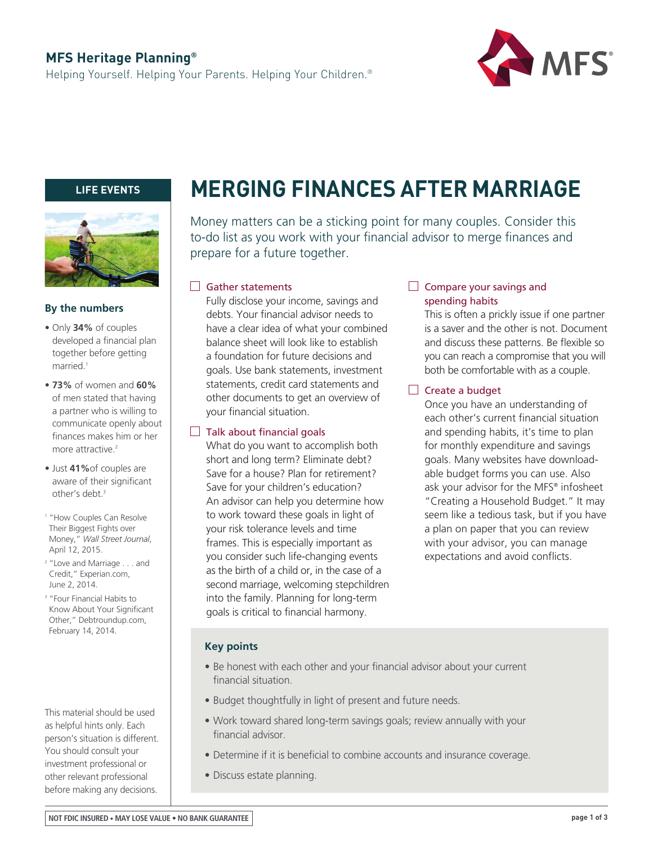## **MFS Heritage Planning®**

Helping Yourself. Helping Your Parents. Helping Your Children.®



## **LIFE EVENTS**



## **By the numbers**

- Only **34%** of couples developed a financial plan together before getting married.<sup>1</sup>
- **73%** of women and **60%**  of men stated that having a partner who is willing to communicate openly about finances makes him or her more attractive<sup>2</sup>
- Just **41%**of couples are aware of their significant other's debt.<sup>3</sup>
- <sup>1</sup> "How Couples Can Resolve Their Biggest Fights over Money," *Wall Street Journal*, April 12, 2015.
- <sup>2</sup> "Love and Marriage . . . and Credit," Experian.com, June 2, 2014.
- <sup>3</sup> "Four Financial Habits to Know About Your Significant Other," Debtroundup.com, February 14, 2014.

This material should be used as helpful hints only. Each person's situation is different. You should consult your investment professional or other relevant professional before making any decisions.

# **MERGING FINANCES AFTER MARRIAGE**

Money matters can be a sticking point for many couples. Consider this to-do list as you work with your financial advisor to merge finances and prepare for a future together.

## Gather statements

Fully disclose your income, savings and debts. Your financial advisor needs to have a clear idea of what your combined balance sheet will look like to establish a foundation for future decisions and goals. Use bank statements, investment statements, credit card statements and other documents to get an overview of your financial situation.

#### $\Box$  Talk about financial goals

What do you want to accomplish both short and long term? Eliminate debt? Save for a house? Plan for retirement? Save for your children's education? An advisor can help you determine how to work toward these goals in light of your risk tolerance levels and time frames. This is especially important as you consider such life-changing events as the birth of a child or, in the case of a second marriage, welcoming stepchildren into the family. Planning for long-term goals is critical to financial harmony.

### $\Box$  Compare your savings and spending habits

This is often a prickly issue if one partner is a saver and the other is not. Document and discuss these patterns. Be flexible so you can reach a compromise that you will both be comfortable with as a couple.

## $\Box$  Create a budget

Once you have an understanding of each other's current financial situation and spending habits, it's time to plan for monthly expenditure and savings goals. Many websites have downloadable budget forms you can use. Also ask your advisor for the MFS® infosheet "Creating a Household Budget." It may seem like a tedious task, but if you have a plan on paper that you can review with your advisor, you can manage expectations and avoid conflicts.

#### **Key points**

- Be honest with each other and your financial advisor about your current financial situation.
- Budget thoughtfully in light of present and future needs.
- Work toward shared long-term savings goals; review annually with your financial advisor.
- Determine if it is beneficial to combine accounts and insurance coverage.
- Discuss estate planning.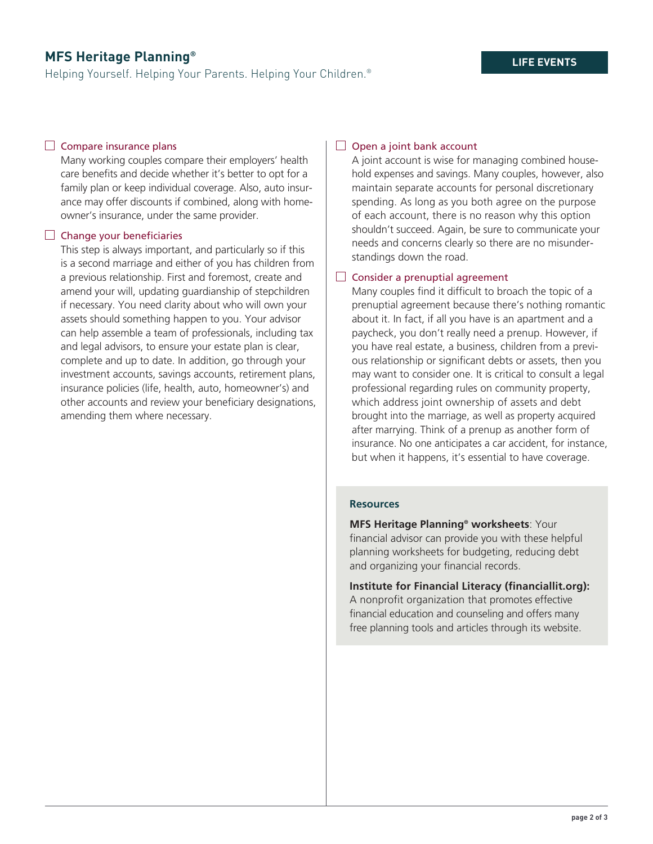## **MFS Heritage Planning®**

Helping Yourself. Helping Your Parents. Helping Your Children.®

## $\Box$  Compare insurance plans

Many working couples compare their employers' health care benefits and decide whether it's better to opt for a family plan or keep individual coverage. Also, auto insurance may offer discounts if combined, along with homeowner's insurance, under the same provider.

#### $\Box$  Change your beneficiaries

This step is always important, and particularly so if this is a second marriage and either of you has children from a previous relationship. First and foremost, create and amend your will, updating guardianship of stepchildren if necessary. You need clarity about who will own your assets should something happen to you. Your advisor can help assemble a team of professionals, including tax and legal advisors, to ensure your estate plan is clear, complete and up to date. In addition, go through your investment accounts, savings accounts, retirement plans, insurance policies (life, health, auto, homeowner's) and other accounts and review your beneficiary designations, amending them where necessary.

## $\Box$  Open a joint bank account

A joint account is wise for managing combined household expenses and savings. Many couples, however, also maintain separate accounts for personal discretionary spending. As long as you both agree on the purpose of each account, there is no reason why this option shouldn't succeed. Again, be sure to communicate your needs and concerns clearly so there are no misunderstandings down the road.

## $\Box$  Consider a prenuptial agreement

Many couples find it difficult to broach the topic of a prenuptial agreement because there's nothing romantic about it. In fact, if all you have is an apartment and a paycheck, you don't really need a prenup. However, if you have real estate, a business, children from a previous relationship or significant debts or assets, then you may want to consider one. It is critical to consult a legal professional regarding rules on community property, which address joint ownership of assets and debt brought into the marriage, as well as property acquired after marrying. Think of a prenup as another form of insurance. No one anticipates a car accident, for instance, but when it happens, it's essential to have coverage.

#### **Resources**

**MFS Heritage Planning® worksheets**: Your financial advisor can provide you with these helpful planning worksheets for budgeting, reducing debt and organizing your financial records.

**Institute for Financial Literacy (financiallit.org):**  A nonprofit organization that promotes effective financial education and counseling and offers many free planning tools and articles through its website.